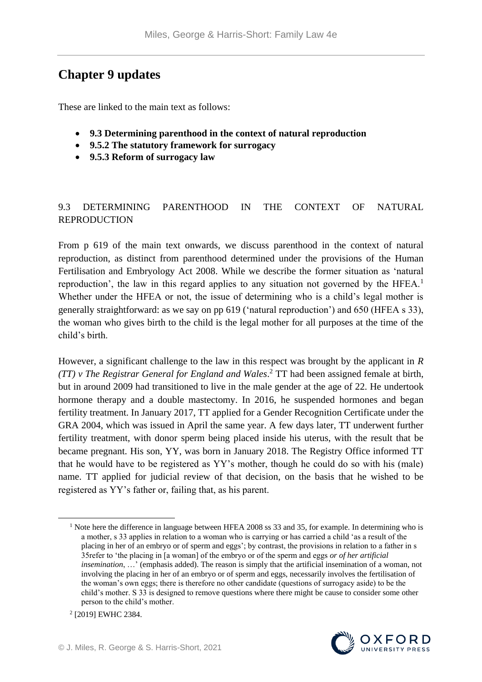# **Chapter 9 updates**

These are linked to the main text as follows:

- **9.3 Determining parenthood in the context of natural reproduction**
- **9.5.2 The statutory framework for surrogacy**
- **9.5.3 Reform of surrogacy law**

# 9.3 DETERMINING PARENTHOOD IN THE CONTEXT OF NATURAL REPRODUCTION

From p 619 of the main text onwards, we discuss parenthood in the context of natural reproduction, as distinct from parenthood determined under the provisions of the Human Fertilisation and Embryology Act 2008. While we describe the former situation as 'natural reproduction', the law in this regard applies to any situation not governed by the HFEA.<sup>1</sup> Whether under the HFEA or not, the issue of determining who is a child's legal mother is generally straightforward: as we say on pp 619 ('natural reproduction') and 650 (HFEA s 33), the woman who gives birth to the child is the legal mother for all purposes at the time of the child's birth.

However, a significant challenge to the law in this respect was brought by the applicant in *R (TT) v The Registrar General for England and Wales*. <sup>2</sup> TT had been assigned female at birth, but in around 2009 had transitioned to live in the male gender at the age of 22. He undertook hormone therapy and a double mastectomy. In 2016, he suspended hormones and began fertility treatment. In January 2017, TT applied for a Gender Recognition Certificate under the GRA 2004, which was issued in April the same year. A few days later, TT underwent further fertility treatment, with donor sperm being placed inside his uterus, with the result that be became pregnant. His son, YY, was born in January 2018. The Registry Office informed TT that he would have to be registered as YY's mother, though he could do so with his (male) name. TT applied for judicial review of that decision, on the basis that he wished to be registered as YY's father or, failing that, as his parent.

<sup>&</sup>lt;sup>1</sup> Note here the difference in language between HFEA 2008 ss 33 and 35, for example. In determining who is a mother, s 33 applies in relation to a woman who is carrying or has carried a child 'as a result of the placing in her of an embryo or of sperm and eggs'; by contrast, the provisions in relation to a father in s 35refer to 'the placing in [a woman] of the embryo or of the sperm and eggs *or of her artificial insemination*, …' (emphasis added). The reason is simply that the artificial insemination of a woman, not involving the placing in her of an embryo or of sperm and eggs, necessarily involves the fertilisation of the woman's own eggs; there is therefore no other candidate (questions of surrogacy aside) to be the child's mother. S 33 is designed to remove questions where there might be cause to consider some other person to the child's mother.



<u>.</u>

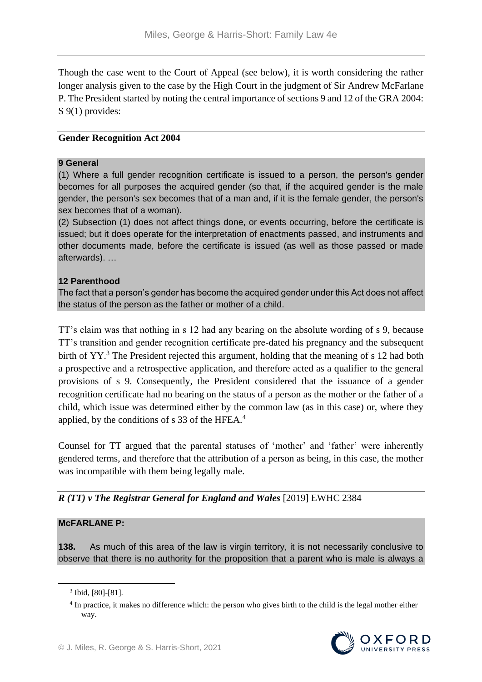Though the case went to the Court of Appeal (see below), it is worth considering the rather longer analysis given to the case by the High Court in the judgment of Sir Andrew McFarlane P. The President started by noting the central importance of sections 9 and 12 of the GRA 2004: S 9(1) provides:

#### **Gender Recognition Act 2004**

#### **9 General**

(1) Where a full gender recognition certificate is issued to a person, the person's gender becomes for all purposes the acquired gender (so that, if the acquired gender is the male gender, the person's sex becomes that of a man and, if it is the female gender, the person's sex becomes that of a woman).

(2) Subsection (1) does not affect things done, or events occurring, before the certificate is issued; but it does operate for the interpretation of enactments passed, and instruments and other documents made, before the certificate is issued (as well as those passed or made afterwards). …

#### **12 Parenthood**

The fact that a person's gender has become the acquired gender under this Act does not affect the status of the person as the father or mother of a child.

TT's claim was that nothing in s 12 had any bearing on the absolute wording of s 9, because TT's transition and gender recognition certificate pre-dated his pregnancy and the subsequent birth of YY.<sup>3</sup> The President rejected this argument, holding that the meaning of s 12 had both a prospective and a retrospective application, and therefore acted as a qualifier to the general provisions of s 9. Consequently, the President considered that the issuance of a gender recognition certificate had no bearing on the status of a person as the mother or the father of a child, which issue was determined either by the common law (as in this case) or, where they applied, by the conditions of s 33 of the HFEA.<sup>4</sup>

Counsel for TT argued that the parental statuses of 'mother' and 'father' were inherently gendered terms, and therefore that the attribution of a person as being, in this case, the mother was incompatible with them being legally male.

*R (TT) v The Registrar General for England and Wales* [2019] EWHC 2384

#### **McFARLANE P:**

**138.** As much of this area of the law is virgin territory, it is not necessarily conclusive to observe that there is no authority for the proposition that a parent who is male is always a

<sup>&</sup>lt;sup>4</sup> In practice, it makes no difference which: the person who gives birth to the child is the legal mother either way.



<sup>3</sup> Ibid, [80]-[81].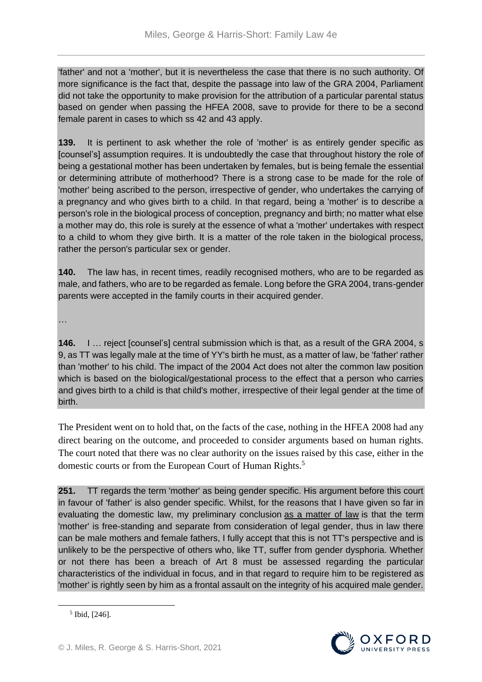'father' and not a 'mother', but it is nevertheless the case that there is no such authority. Of more significance is the fact that, despite the passage into law of the GRA 2004, Parliament did not take the opportunity to make provision for the attribution of a particular parental status based on gender when passing the HFEA 2008, save to provide for there to be a second female parent in cases to which ss 42 and 43 apply.

**139.** It is pertinent to ask whether the role of 'mother' is as entirely gender specific as [counsel's] assumption requires. It is undoubtedly the case that throughout history the role of being a gestational mother has been undertaken by females, but is being female the essential or determining attribute of motherhood? There is a strong case to be made for the role of 'mother' being ascribed to the person, irrespective of gender, who undertakes the carrying of a pregnancy and who gives birth to a child. In that regard, being a 'mother' is to describe a person's role in the biological process of conception, pregnancy and birth; no matter what else a mother may do, this role is surely at the essence of what a 'mother' undertakes with respect to a child to whom they give birth. It is a matter of the role taken in the biological process, rather the person's particular sex or gender.

**140.** The law has, in recent times, readily recognised mothers, who are to be regarded as male, and fathers, who are to be regarded as female. Long before the GRA 2004, trans-gender parents were accepted in the family courts in their acquired gender.

…

**146.** I … reject [counsel's] central submission which is that, as a result of the GRA 2004, s 9, as TT was legally male at the time of YY's birth he must, as a matter of law, be 'father' rather than 'mother' to his child. The impact of the 2004 Act does not alter the common law position which is based on the biological/gestational process to the effect that a person who carries and gives birth to a child is that child's mother, irrespective of their legal gender at the time of birth.

The President went on to hold that, on the facts of the case, nothing in the HFEA 2008 had any direct bearing on the outcome, and proceeded to consider arguments based on human rights. The court noted that there was no clear authority on the issues raised by this case, either in the domestic courts or from the European Court of Human Rights.<sup>5</sup>

**251.** TT regards the term 'mother' as being gender specific. His argument before this court in favour of 'father' is also gender specific. Whilst, for the reasons that I have given so far in evaluating the domestic law, my preliminary conclusion as a matter of law is that the term 'mother' is free-standing and separate from consideration of legal gender, thus in law there can be male mothers and female fathers, I fully accept that this is not TT's perspective and is unlikely to be the perspective of others who, like TT, suffer from gender dysphoria. Whether or not there has been a breach of Art 8 must be assessed regarding the particular characteristics of the individual in focus, and in that regard to require him to be registered as 'mother' is rightly seen by him as a frontal assault on the integrity of his acquired male gender.



<sup>5</sup> Ibid, [246].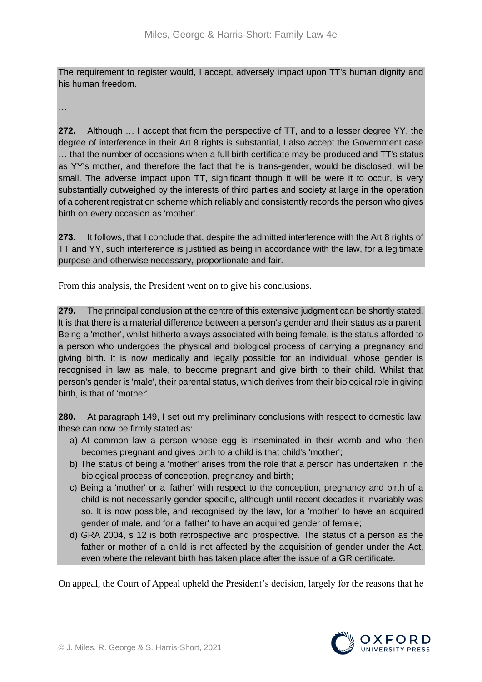The requirement to register would, I accept, adversely impact upon TT's human dignity and his human freedom.

…

**272.** Although … I accept that from the perspective of TT, and to a lesser degree YY, the degree of interference in their Art 8 rights is substantial, I also accept the Government case … that the number of occasions when a full birth certificate may be produced and TT's status as YY's mother, and therefore the fact that he is trans-gender, would be disclosed, will be small. The adverse impact upon TT, significant though it will be were it to occur, is very substantially outweighed by the interests of third parties and society at large in the operation of a coherent registration scheme which reliably and consistently records the person who gives birth on every occasion as 'mother'.

**273.** It follows, that I conclude that, despite the admitted interference with the Art 8 rights of TT and YY, such interference is justified as being in accordance with the law, for a legitimate purpose and otherwise necessary, proportionate and fair.

From this analysis, the President went on to give his conclusions.

**279.** The principal conclusion at the centre of this extensive judgment can be shortly stated. It is that there is a material difference between a person's gender and their status as a parent. Being a 'mother', whilst hitherto always associated with being female, is the status afforded to a person who undergoes the physical and biological process of carrying a pregnancy and giving birth. It is now medically and legally possible for an individual, whose gender is recognised in law as male, to become pregnant and give birth to their child. Whilst that person's gender is 'male', their parental status, which derives from their biological role in giving birth, is that of 'mother'.

**280.** At paragraph 149, I set out my preliminary conclusions with respect to domestic law, these can now be firmly stated as:

- a) At common law a person whose egg is inseminated in their womb and who then becomes pregnant and gives birth to a child is that child's 'mother';
- b) The status of being a 'mother' arises from the role that a person has undertaken in the biological process of conception, pregnancy and birth;
- c) Being a 'mother' or a 'father' with respect to the conception, pregnancy and birth of a child is not necessarily gender specific, although until recent decades it invariably was so. It is now possible, and recognised by the law, for a 'mother' to have an acquired gender of male, and for a 'father' to have an acquired gender of female;
- d) GRA 2004, s 12 is both retrospective and prospective. The status of a person as the father or mother of a child is not affected by the acquisition of gender under the Act, even where the relevant birth has taken place after the issue of a GR certificate.

On appeal, the Court of Appeal upheld the President's decision, largely for the reasons that he

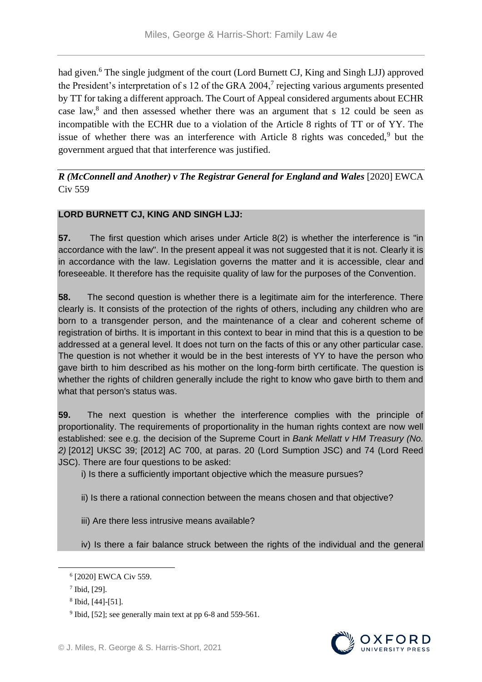had given.<sup>6</sup> The single judgment of the court (Lord Burnett CJ, King and Singh LJJ) approved the President's interpretation of s 12 of the GRA 2004,<sup>7</sup> rejecting various arguments presented by TT for taking a different approach. The Court of Appeal considered arguments about ECHR case law, $8$  and then assessed whether there was an argument that s 12 could be seen as incompatible with the ECHR due to a violation of the Article 8 rights of TT or of YY. The issue of whether there was an interference with Article 8 rights was conceded, $9$  but the government argued that that interference was justified.

## *R (McConnell and Another) v The Registrar General for England and Wales* [2020] EWCA Civ 559

# **LORD BURNETT CJ, KING AND SINGH LJJ:**

**57.** The first question which arises under Article 8(2) is whether the interference is "in accordance with the law". In the present appeal it was not suggested that it is not. Clearly it is in accordance with the law. Legislation governs the matter and it is accessible, clear and foreseeable. It therefore has the requisite quality of law for the purposes of the Convention.

**58.** The second question is whether there is a legitimate aim for the interference. There clearly is. It consists of the protection of the rights of others, including any children who are born to a transgender person, and the maintenance of a clear and coherent scheme of registration of births. It is important in this context to bear in mind that this is a question to be addressed at a general level. It does not turn on the facts of this or any other particular case. The question is not whether it would be in the best interests of YY to have the person who gave birth to him described as his mother on the long-form birth certificate. The question is whether the rights of children generally include the right to know who gave birth to them and what that person's status was.

**59.** The next question is whether the interference complies with the principle of proportionality. The requirements of proportionality in the human rights context are now well established: see e.g. the decision of the Supreme Court in *Bank Mellatt v HM Treasury (No. 2)* [2012] UKSC 39; [2012] AC 700, at paras. 20 (Lord Sumption JSC) and 74 (Lord Reed JSC). There are four questions to be asked:

i) Is there a sufficiently important objective which the measure pursues?

ii) Is there a rational connection between the means chosen and that objective?

iii) Are there less intrusive means available?

iv) Is there a fair balance struck between the rights of the individual and the general



<sup>6</sup> [2020] EWCA Civ 559.

<sup>7</sup> Ibid, [29].

<sup>8</sup> Ibid, [44]-[51].

<sup>&</sup>lt;sup>9</sup> Ibid, [52]; see generally main text at pp 6-8 and 559-561.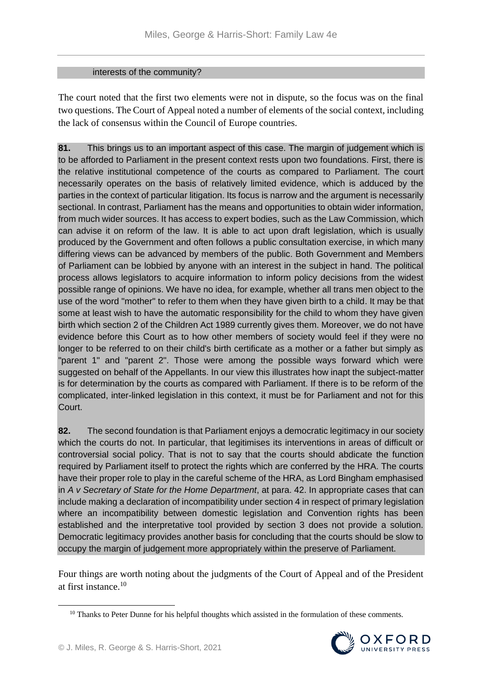#### interests of the community?

The court noted that the first two elements were not in dispute, so the focus was on the final two questions. The Court of Appeal noted a number of elements of the social context, including the lack of consensus within the Council of Europe countries.

**81.** This brings us to an important aspect of this case. The margin of judgement which is to be afforded to Parliament in the present context rests upon two foundations. First, there is the relative institutional competence of the courts as compared to Parliament. The court necessarily operates on the basis of relatively limited evidence, which is adduced by the parties in the context of particular litigation. Its focus is narrow and the argument is necessarily sectional. In contrast, Parliament has the means and opportunities to obtain wider information, from much wider sources. It has access to expert bodies, such as the Law Commission, which can advise it on reform of the law. It is able to act upon draft legislation, which is usually produced by the Government and often follows a public consultation exercise, in which many differing views can be advanced by members of the public. Both Government and Members of Parliament can be lobbied by anyone with an interest in the subject in hand. The political process allows legislators to acquire information to inform policy decisions from the widest possible range of opinions. We have no idea, for example, whether all trans men object to the use of the word "mother" to refer to them when they have given birth to a child. It may be that some at least wish to have the automatic responsibility for the child to whom they have given birth which section 2 of the Children Act 1989 currently gives them. Moreover, we do not have evidence before this Court as to how other members of society would feel if they were no longer to be referred to on their child's birth certificate as a mother or a father but simply as "parent 1" and "parent 2". Those were among the possible ways forward which were suggested on behalf of the Appellants. In our view this illustrates how inapt the subject-matter is for determination by the courts as compared with Parliament. If there is to be reform of the complicated, inter-linked legislation in this context, it must be for Parliament and not for this Court.

**82.** The second foundation is that Parliament enjoys a democratic legitimacy in our society which the courts do not. In particular, that legitimises its interventions in areas of difficult or controversial social policy. That is not to say that the courts should abdicate the function required by Parliament itself to protect the rights which are conferred by the HRA. The courts have their proper role to play in the careful scheme of the HRA, as Lord Bingham emphasised in *A v Secretary of State for the Home Department*, at para. 42. In appropriate cases that can include making a declaration of incompatibility under section 4 in respect of primary legislation where an incompatibility between domestic legislation and Convention rights has been established and the interpretative tool provided by section 3 does not provide a solution. Democratic legitimacy provides another basis for concluding that the courts should be slow to occupy the margin of judgement more appropriately within the preserve of Parliament.

Four things are worth noting about the judgments of the Court of Appeal and of the President at first instance.<sup>10</sup>

<sup>&</sup>lt;sup>10</sup> Thanks to Peter Dunne for his helpful thoughts which assisted in the formulation of these comments.

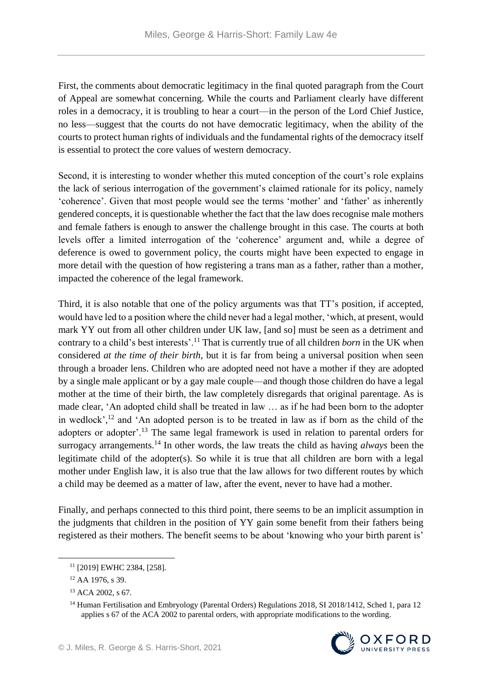First, the comments about democratic legitimacy in the final quoted paragraph from the Court of Appeal are somewhat concerning. While the courts and Parliament clearly have different roles in a democracy, it is troubling to hear a court—in the person of the Lord Chief Justice, no less—suggest that the courts do not have democratic legitimacy, when the ability of the courts to protect human rights of individuals and the fundamental rights of the democracy itself is essential to protect the core values of western democracy.

Second, it is interesting to wonder whether this muted conception of the court's role explains the lack of serious interrogation of the government's claimed rationale for its policy, namely 'coherence'. Given that most people would see the terms 'mother' and 'father' as inherently gendered concepts, it is questionable whether the fact that the law does recognise male mothers and female fathers is enough to answer the challenge brought in this case. The courts at both levels offer a limited interrogation of the 'coherence' argument and, while a degree of deference is owed to government policy, the courts might have been expected to engage in more detail with the question of how registering a trans man as a father, rather than a mother, impacted the coherence of the legal framework.

Third, it is also notable that one of the policy arguments was that TT's position, if accepted, would have led to a position where the child never had a legal mother, 'which, at present, would mark YY out from all other children under UK law, [and so] must be seen as a detriment and contrary to a child's best interests'.<sup>11</sup> That is currently true of all children *born* in the UK when considered *at the time of their birth*, but it is far from being a universal position when seen through a broader lens. Children who are adopted need not have a mother if they are adopted by a single male applicant or by a gay male couple—and though those children do have a legal mother at the time of their birth, the law completely disregards that original parentage. As is made clear, 'An adopted child shall be treated in law … as if he had been born to the adopter in wedlock', <sup>12</sup> and 'An adopted person is to be treated in law as if born as the child of the adopters or adopter'.<sup>13</sup> The same legal framework is used in relation to parental orders for surrogacy arrangements.<sup>14</sup> In other words, the law treats the child as having *always* been the legitimate child of the adopter(s). So while it is true that all children are born with a legal mother under English law, it is also true that the law allows for two different routes by which a child may be deemed as a matter of law, after the event, never to have had a mother.

Finally, and perhaps connected to this third point, there seems to be an implicit assumption in the judgments that children in the position of YY gain some benefit from their fathers being registered as their mothers. The benefit seems to be about 'knowing who your birth parent is'

<u>.</u>

<sup>&</sup>lt;sup>14</sup> Human Fertilisation and Embryology (Parental Orders) Regulations 2018, SI 2018/1412, Sched 1, para 12 applies s 67 of the ACA 2002 to parental orders, with appropriate modifications to the wording.



<sup>11</sup> [2019] EWHC 2384, [258].

<sup>12</sup> AA 1976, s 39.

<sup>13</sup> ACA 2002, s 67.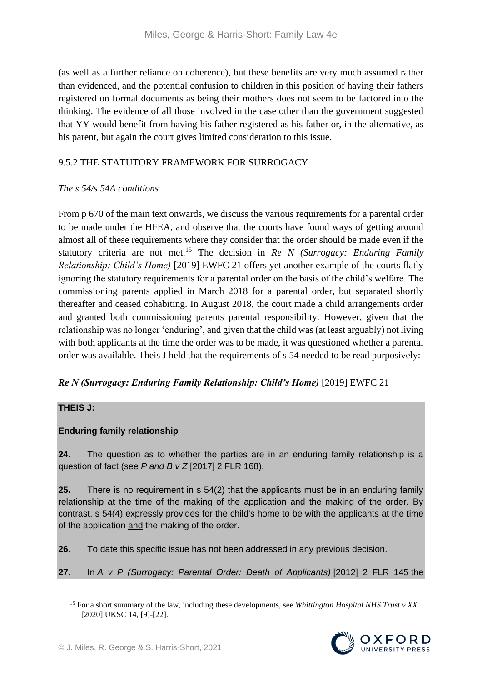(as well as a further reliance on coherence), but these benefits are very much assumed rather than evidenced, and the potential confusion to children in this position of having their fathers registered on formal documents as being their mothers does not seem to be factored into the thinking. The evidence of all those involved in the case other than the government suggested that YY would benefit from having his father registered as his father or, in the alternative, as his parent, but again the court gives limited consideration to this issue.

# 9.5.2 THE STATUTORY FRAMEWORK FOR SURROGACY

### *The s 54/s 54A conditions*

From p 670 of the main text onwards, we discuss the various requirements for a parental order to be made under the HFEA, and observe that the courts have found ways of getting around almost all of these requirements where they consider that the order should be made even if the statutory criteria are not met.<sup>15</sup> The decision in *Re N (Surrogacy: Enduring Family Relationship: Child's Home)* [2019] EWFC 21 offers yet another example of the courts flatly ignoring the statutory requirements for a parental order on the basis of the child's welfare. The commissioning parents applied in March 2018 for a parental order, but separated shortly thereafter and ceased cohabiting. In August 2018, the court made a child arrangements order and granted both commissioning parents parental responsibility. However, given that the relationship was no longer 'enduring', and given that the child was (at least arguably) not living with both applicants at the time the order was to be made, it was questioned whether a parental order was available. Theis J held that the requirements of s 54 needed to be read purposively:

## *Re N (Surrogacy: Enduring Family Relationship: Child's Home)* [2019] EWFC 21

### **THEIS J:**

1

## **Enduring family relationship**

**24.** The question as to whether the parties are in an enduring family relationship is a question of fact (see *P and B v Z* [2017] 2 FLR 168).

**25.** There is no requirement in s 54(2) that the applicants must be in an enduring family relationship at the time of the making of the application and the making of the order. By contrast, s 54(4) expressly provides for the child's home to be with the applicants at the time of the application and the making of the order.

**26.** To date this specific issue has not been addressed in any previous decision.

**27.** In *A v P (Surrogacy: Parental Order: Death of Applicants)* [2012] 2 FLR 145 the

<sup>15</sup> For a short summary of the law, including these developments, see *Whittington Hospital NHS Trust v XX*  [2020] UKSC 14, [9]-[22].

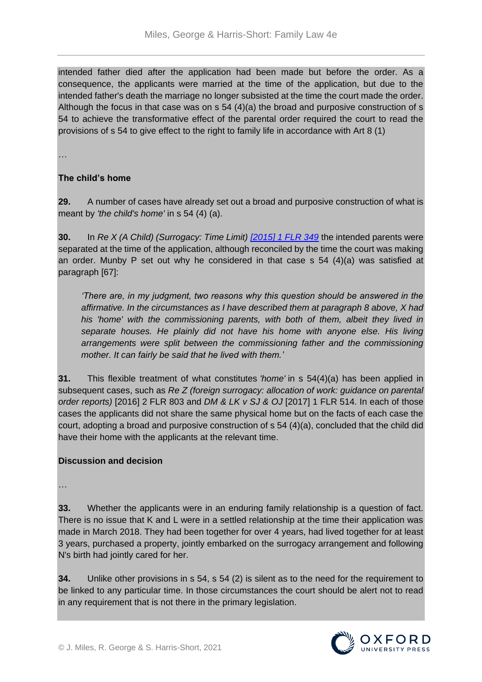intended father died after the application had been made but before the order. As a consequence, the applicants were married at the time of the application, but due to the intended father's death the marriage no longer subsisted at the time the court made the order. Although the focus in that case was on  $s$  54 (4)(a) the broad and purposive construction of  $s$ 54 to achieve the transformative effect of the parental order required the court to read the provisions of s 54 to give effect to the right to family life in accordance with Art 8 (1)

…

## **The child's home**

**29.** A number of cases have already set out a broad and purposive construction of what is meant by *'the child's home'* in s 54 (4) (a).

**30.** In *Re X (A Child) (Surrogacy: Time Limit) [\[2015\] 1 FLR 349](https://www.bailii.org/cgi-bin/redirect.cgi?path=/ew/cases/EWHC/Fam/2014/3135.html)* the intended parents were separated at the time of the application, although reconciled by the time the court was making an order. Munby P set out why he considered in that case s 54 (4)(a) was satisfied at paragraph [67]:

*'There are, in my judgment, two reasons why this question should be answered in the affirmative. In the circumstances as I have described them at paragraph 8 above, X had his 'home' with the commissioning parents, with both of them, albeit they lived in separate houses. He plainly did not have his home with anyone else. His living arrangements were split between the commissioning father and the commissioning mother. It can fairly be said that he lived with them.'*

**31.** This flexible treatment of what constitutes *'home'* in s 54(4)(a) has been applied in subsequent cases, such as *Re Z (foreign surrogacy: allocation of work: guidance on parental order reports)* [2016] 2 FLR 803 and *DM & LK v SJ & OJ* [2017] 1 FLR 514*.* In each of those cases the applicants did not share the same physical home but on the facts of each case the court, adopting a broad and purposive construction of s 54 (4)(a), concluded that the child did have their home with the applicants at the relevant time.

## **Discussion and decision**

…

**33.** Whether the applicants were in an enduring family relationship is a question of fact. There is no issue that K and L were in a settled relationship at the time their application was made in March 2018. They had been together for over 4 years, had lived together for at least 3 years, purchased a property, jointly embarked on the surrogacy arrangement and following N's birth had jointly cared for her.

**34.** Unlike other provisions in s 54, s 54 (2) is silent as to the need for the requirement to be linked to any particular time. In those circumstances the court should be alert not to read in any requirement that is not there in the primary legislation.

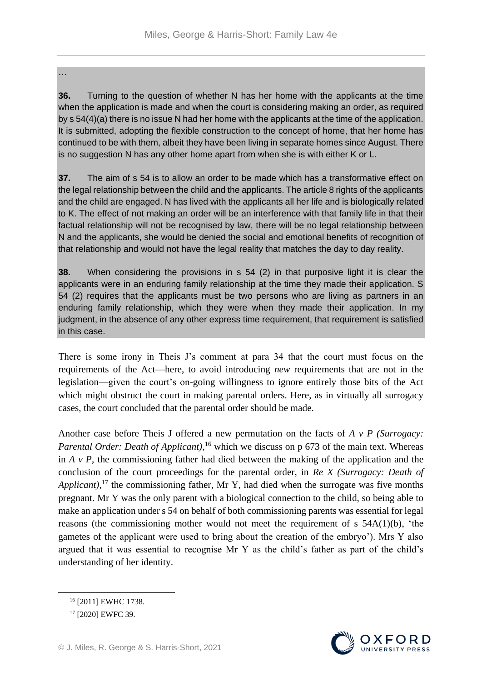#### …

**36.** Turning to the question of whether N has her home with the applicants at the time when the application is made and when the court is considering making an order, as required by s 54(4)(a) there is no issue N had her home with the applicants at the time of the application. It is submitted, adopting the flexible construction to the concept of home, that her home has continued to be with them, albeit they have been living in separate homes since August. There is no suggestion N has any other home apart from when she is with either K or L.

**37.** The aim of s 54 is to allow an order to be made which has a transformative effect on the legal relationship between the child and the applicants. The article 8 rights of the applicants and the child are engaged. N has lived with the applicants all her life and is biologically related to K. The effect of not making an order will be an interference with that family life in that their factual relationship will not be recognised by law, there will be no legal relationship between N and the applicants, she would be denied the social and emotional benefits of recognition of that relationship and would not have the legal reality that matches the day to day reality.

**38.** When considering the provisions in s 54 (2) in that purposive light it is clear the applicants were in an enduring family relationship at the time they made their application. S 54 (2) requires that the applicants must be two persons who are living as partners in an enduring family relationship, which they were when they made their application. In my judgment, in the absence of any other express time requirement, that requirement is satisfied in this case.

There is some irony in Theis J's comment at para 34 that the court must focus on the requirements of the Act—here, to avoid introducing *new* requirements that are not in the legislation—given the court's on-going willingness to ignore entirely those bits of the Act which might obstruct the court in making parental orders. Here, as in virtually all surrogacy cases, the court concluded that the parental order should be made.

Another case before Theis J offered a new permutation on the facts of *A v P (Surrogacy:*  Parental Order: Death of Applicant),<sup>16</sup> which we discuss on p 673 of the main text. Whereas in *A v P*, the commissioning father had died between the making of the application and the conclusion of the court proceedings for the parental order, in *Re X (Surrogacy: Death of*  Applicant),<sup>17</sup> the commissioning father, Mr Y, had died when the surrogate was five months pregnant. Mr Y was the only parent with a biological connection to the child, so being able to make an application under s 54 on behalf of both commissioning parents was essential for legal reasons (the commissioning mother would not meet the requirement of s 54A(1)(b), 'the gametes of the applicant were used to bring about the creation of the embryo'). Mrs Y also argued that it was essential to recognise Mr Y as the child's father as part of the child's understanding of her identity.



<sup>&</sup>lt;sup>16</sup> [2011] EWHC 1738.

<sup>&</sup>lt;sup>17</sup> [2020] EWFC 39.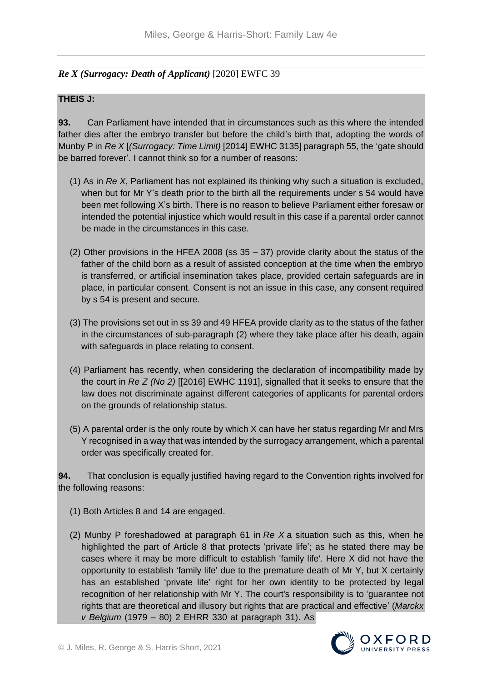# *Re X (Surrogacy: Death of Applicant)* [2020] EWFC 39

### **THEIS J:**

**93.** Can Parliament have intended that in circumstances such as this where the intended father dies after the embryo transfer but before the child's birth that, adopting the words of Munby P in *Re X* [*(Surrogacy: Time Limit)* [2014] EWHC 3135] paragraph 55, the 'gate should be barred forever'. I cannot think so for a number of reasons:

- (1) As in *Re X*, Parliament has not explained its thinking why such a situation is excluded, when but for Mr Y's death prior to the birth all the requirements under s 54 would have been met following X's birth. There is no reason to believe Parliament either foresaw or intended the potential injustice which would result in this case if a parental order cannot be made in the circumstances in this case.
- (2) Other provisions in the HFEA 2008 (ss 35 37) provide clarity about the status of the father of the child born as a result of assisted conception at the time when the embryo is transferred, or artificial insemination takes place, provided certain safeguards are in place, in particular consent. Consent is not an issue in this case, any consent required by s 54 is present and secure.
- (3) The provisions set out in ss 39 and 49 HFEA provide clarity as to the status of the father in the circumstances of sub-paragraph (2) where they take place after his death, again with safeguards in place relating to consent.
- (4) Parliament has recently, when considering the declaration of incompatibility made by the court in *Re Z (No 2)* [[2016] EWHC 1191], signalled that it seeks to ensure that the law does not discriminate against different categories of applicants for parental orders on the grounds of relationship status.
- (5) A parental order is the only route by which X can have her status regarding Mr and Mrs Y recognised in a way that was intended by the surrogacy arrangement, which a parental order was specifically created for.

**94.** That conclusion is equally justified having regard to the Convention rights involved for the following reasons:

- (1) Both Articles 8 and 14 are engaged.
- (2) Munby P foreshadowed at paragraph 61 in *Re X* a situation such as this, when he highlighted the part of Article 8 that protects 'private life'; as he stated there may be cases where it may be more difficult to establish 'family life'. Here X did not have the opportunity to establish 'family life' due to the premature death of Mr Y, but X certainly has an established 'private life' right for her own identity to be protected by legal recognition of her relationship with Mr Y. The court's responsibility is to 'guarantee not rights that are theoretical and illusory but rights that are practical and effective' (*Marckx v Belgium* (1979 – 80) 2 EHRR 330 at paragraph 31). As

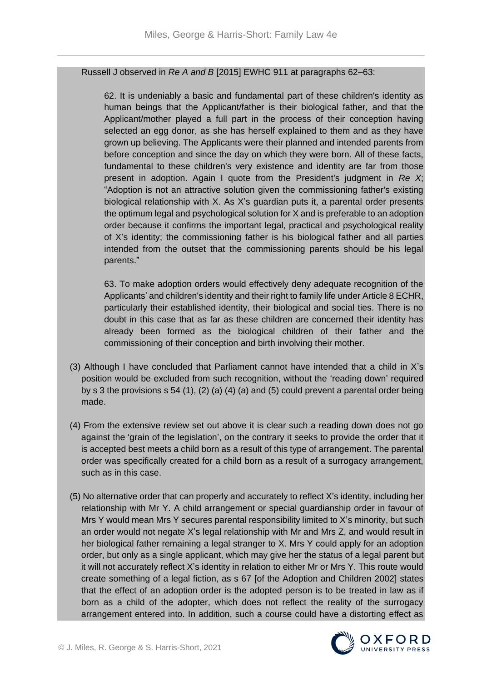#### Russell J observed in *Re A and B* [2015] EWHC 911 at paragraphs 62–63:

62. It is undeniably a basic and fundamental part of these children's identity as human beings that the Applicant/father is their biological father, and that the Applicant/mother played a full part in the process of their conception having selected an egg donor, as she has herself explained to them and as they have grown up believing. The Applicants were their planned and intended parents from before conception and since the day on which they were born. All of these facts, fundamental to these children's very existence and identity are far from those present in adoption. Again I quote from the President's judgment in *Re X*; "Adoption is not an attractive solution given the commissioning father's existing biological relationship with X. As X's guardian puts it, a parental order presents the optimum legal and psychological solution for X and is preferable to an adoption order because it confirms the important legal, practical and psychological reality of X's identity; the commissioning father is his biological father and all parties intended from the outset that the commissioning parents should be his legal parents."

63. To make adoption orders would effectively deny adequate recognition of the Applicants' and children's identity and their right to family life under Article 8 ECHR, particularly their established identity, their biological and social ties. There is no doubt in this case that as far as these children are concerned their identity has already been formed as the biological children of their father and the commissioning of their conception and birth involving their mother.

- (3) Although I have concluded that Parliament cannot have intended that a child in X's position would be excluded from such recognition, without the 'reading down' required by s 3 the provisions s 54 (1), (2) (a) (4) (a) and (5) could prevent a parental order being made.
- (4) From the extensive review set out above it is clear such a reading down does not go against the 'grain of the legislation', on the contrary it seeks to provide the order that it is accepted best meets a child born as a result of this type of arrangement. The parental order was specifically created for a child born as a result of a surrogacy arrangement, such as in this case.
- (5) No alternative order that can properly and accurately to reflect X's identity, including her relationship with Mr Y. A child arrangement or special guardianship order in favour of Mrs Y would mean Mrs Y secures parental responsibility limited to X's minority, but such an order would not negate X's legal relationship with Mr and Mrs Z, and would result in her biological father remaining a legal stranger to X. Mrs Y could apply for an adoption order, but only as a single applicant, which may give her the status of a legal parent but it will not accurately reflect X's identity in relation to either Mr or Mrs Y. This route would create something of a legal fiction, as s 67 [of the Adoption and Children 2002] states that the effect of an adoption order is the adopted person is to be treated in law as if born as a child of the adopter, which does not reflect the reality of the surrogacy arrangement entered into. In addition, such a course could have a distorting effect as

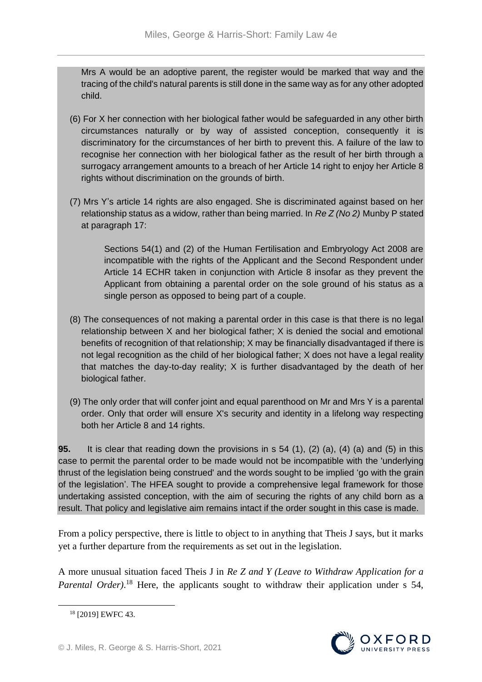Mrs A would be an adoptive parent, the register would be marked that way and the tracing of the child's natural parents is still done in the same way as for any other adopted child.

- (6) For X her connection with her biological father would be safeguarded in any other birth circumstances naturally or by way of assisted conception, consequently it is discriminatory for the circumstances of her birth to prevent this. A failure of the law to recognise her connection with her biological father as the result of her birth through a surrogacy arrangement amounts to a breach of her Article 14 right to enjoy her Article 8 rights without discrimination on the grounds of birth.
- (7) Mrs Y's article 14 rights are also engaged. She is discriminated against based on her relationship status as a widow, rather than being married. In *Re Z (No 2)* Munby P stated at paragraph 17:

Sections 54(1) and (2) of the Human Fertilisation and Embryology Act 2008 are incompatible with the rights of the Applicant and the Second Respondent under Article 14 ECHR taken in conjunction with Article 8 insofar as they prevent the Applicant from obtaining a parental order on the sole ground of his status as a single person as opposed to being part of a couple.

- (8) The consequences of not making a parental order in this case is that there is no legal relationship between X and her biological father; X is denied the social and emotional benefits of recognition of that relationship; X may be financially disadvantaged if there is not legal recognition as the child of her biological father; X does not have a legal reality that matches the day-to-day reality; X is further disadvantaged by the death of her biological father.
- (9) The only order that will confer joint and equal parenthood on Mr and Mrs Y is a parental order. Only that order will ensure X's security and identity in a lifelong way respecting both her Article 8 and 14 rights.

**95.** It is clear that reading down the provisions in s 54 (1), (2) (a), (4) (a) and (5) in this case to permit the parental order to be made would not be incompatible with the 'underlying thrust of the legislation being construed' and the words sought to be implied 'go with the grain of the legislation'. The HFEA sought to provide a comprehensive legal framework for those undertaking assisted conception, with the aim of securing the rights of any child born as a result. That policy and legislative aim remains intact if the order sought in this case is made.

From a policy perspective, there is little to object to in anything that Theis J says, but it marks yet a further departure from the requirements as set out in the legislation.

A more unusual situation faced Theis J in *Re Z and Y (Leave to Withdraw Application for a*  Parental Order).<sup>18</sup> Here, the applicants sought to withdraw their application under s 54,



<sup>18</sup> [2019] EWFC 43.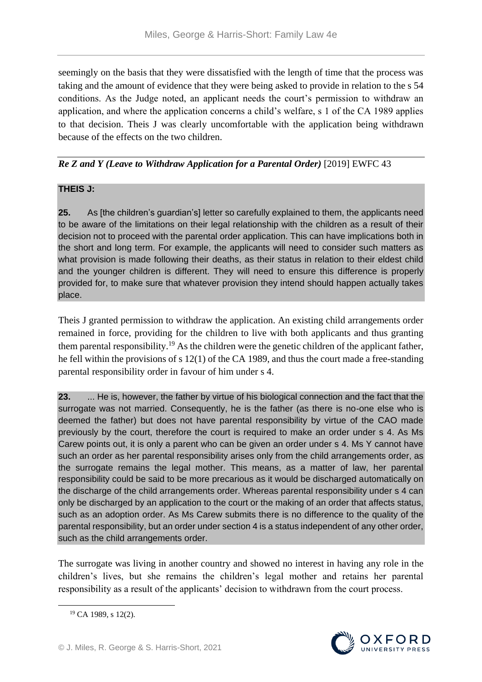seemingly on the basis that they were dissatisfied with the length of time that the process was taking and the amount of evidence that they were being asked to provide in relation to the s 54 conditions. As the Judge noted, an applicant needs the court's permission to withdraw an application, and where the application concerns a child's welfare, s 1 of the CA 1989 applies to that decision. Theis J was clearly uncomfortable with the application being withdrawn because of the effects on the two children.

# *Re Z and Y (Leave to Withdraw Application for a Parental Order)* [2019] EWFC 43

## **THEIS J:**

**25.** As [the children's guardian's] letter so carefully explained to them, the applicants need to be aware of the limitations on their legal relationship with the children as a result of their decision not to proceed with the parental order application. This can have implications both in the short and long term. For example, the applicants will need to consider such matters as what provision is made following their deaths, as their status in relation to their eldest child and the younger children is different. They will need to ensure this difference is properly provided for, to make sure that whatever provision they intend should happen actually takes place.

Theis J granted permission to withdraw the application. An existing child arrangements order remained in force, providing for the children to live with both applicants and thus granting them parental responsibility.<sup>19</sup> As the children were the genetic children of the applicant father, he fell within the provisions of s 12(1) of the CA 1989, and thus the court made a free-standing parental responsibility order in favour of him under s 4.

**23.** ... He is, however, the father by virtue of his biological connection and the fact that the surrogate was not married. Consequently, he is the father (as there is no-one else who is deemed the father) but does not have parental responsibility by virtue of the CAO made previously by the court, therefore the court is required to make an order under s 4. As Ms Carew points out, it is only a parent who can be given an order under s 4. Ms Y cannot have such an order as her parental responsibility arises only from the child arrangements order, as the surrogate remains the legal mother. This means, as a matter of law, her parental responsibility could be said to be more precarious as it would be discharged automatically on the discharge of the child arrangements order. Whereas parental responsibility under s 4 can only be discharged by an application to the court or the making of an order that affects status, such as an adoption order. As Ms Carew submits there is no difference to the quality of the parental responsibility, but an order under section 4 is a status independent of any other order, such as the child arrangements order.

The surrogate was living in another country and showed no interest in having any role in the children's lives, but she remains the children's legal mother and retains her parental responsibility as a result of the applicants' decision to withdrawn from the court process.



<sup>19</sup> CA 1989, s 12(2).